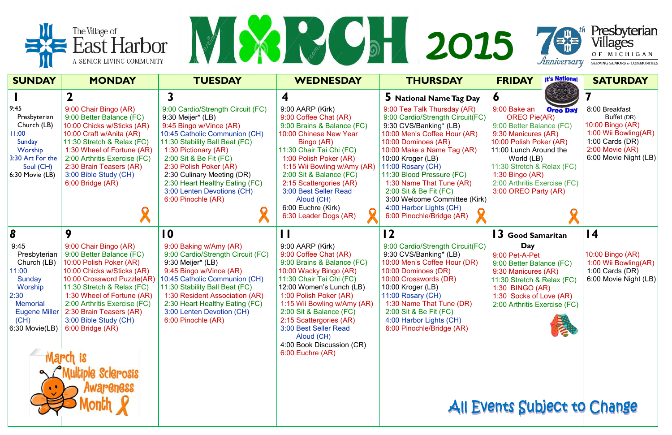



|                                                                                                                                                                                                   | $\equiv$ East Harbor<br>A SENIOR LIVING COMMUNITY                                                                                                                                                                                                                                                                                                                                                                                                              | REAL PROPERTY                                                                                                                                                                                                                                                                                                                                                                                                                                                                                                                                              |                                                                                                                                                                                                                                                                                                                                                                                                                                                                                                               | <b>Jan 2015</b>                                                                                                                                                                                                                                                                                                                                                                                                                                                                                                                                                                                          | 著<br><i>Anniversary</i>                                                                                                                                                                                                                                                                                                                                                                                                                                      | Presbyterian<br>Villages<br>OF MICHIGAN<br>SERVING SENIORS & COMMUNITIES                                                                                                                                                                                  |
|---------------------------------------------------------------------------------------------------------------------------------------------------------------------------------------------------|----------------------------------------------------------------------------------------------------------------------------------------------------------------------------------------------------------------------------------------------------------------------------------------------------------------------------------------------------------------------------------------------------------------------------------------------------------------|------------------------------------------------------------------------------------------------------------------------------------------------------------------------------------------------------------------------------------------------------------------------------------------------------------------------------------------------------------------------------------------------------------------------------------------------------------------------------------------------------------------------------------------------------------|---------------------------------------------------------------------------------------------------------------------------------------------------------------------------------------------------------------------------------------------------------------------------------------------------------------------------------------------------------------------------------------------------------------------------------------------------------------------------------------------------------------|----------------------------------------------------------------------------------------------------------------------------------------------------------------------------------------------------------------------------------------------------------------------------------------------------------------------------------------------------------------------------------------------------------------------------------------------------------------------------------------------------------------------------------------------------------------------------------------------------------|--------------------------------------------------------------------------------------------------------------------------------------------------------------------------------------------------------------------------------------------------------------------------------------------------------------------------------------------------------------------------------------------------------------------------------------------------------------|-----------------------------------------------------------------------------------------------------------------------------------------------------------------------------------------------------------------------------------------------------------|
| <b>SUNDAY</b>                                                                                                                                                                                     | <b>MONDAY</b>                                                                                                                                                                                                                                                                                                                                                                                                                                                  | <b>TUESDAY</b>                                                                                                                                                                                                                                                                                                                                                                                                                                                                                                                                             | <b>WEDNESDAY</b>                                                                                                                                                                                                                                                                                                                                                                                                                                                                                              | <b>THURSDAY</b>                                                                                                                                                                                                                                                                                                                                                                                                                                                                                                                                                                                          | <b>It's National</b><br><b>FRIDAY</b>                                                                                                                                                                                                                                                                                                                                                                                                                        | <b>SATURDAY</b>                                                                                                                                                                                                                                           |
| 9:45<br>Presbyterian<br>Church (LB)<br>11:00<br>Sunday<br>Worship<br>3:30 Art For the<br>Soul (CH)<br>$6:30$ Movie (LB)<br>8<br>9:45<br>Presbyterian<br>Church (LB)<br>11:00<br>Sunday<br>Worship | 9:00 Chair Bingo (AR)<br>9:00 Better Balance (FC)<br>10:00 Chicks w/Sticks (AR)<br>10:00 Craft w/Anita (AR)<br>11:30 Stretch & Relax (FC)<br>1:30 Wheel of Fortune (AR)<br>2:00 Arthritis Exercise (FC)<br>2:30 Brain Teasers (AR)<br>3:00 Bible Study (CH)<br>6:00 Bridge (AR)<br>9<br>9:00 Chair Bingo (AR)<br>9:00 Better Balance (FC)<br>10:00 Polish Poker (AR)<br>10:00 Chicks w/Sticks (AR)<br>10:00 Crossword Puzzle(AR)<br>11:30 Stretch & Relax (FC) | 9:00 Cardio/Strength Circuit (FC)<br>9:30 Meijer* (LB)<br>9:45 Bingo w/Vince (AR)<br>10:45 Catholic Communion (CH)<br>11:30 Stability Ball Beat (FC)<br>1:30 Pictionary (AR)<br>2:00 Sit & Be Fit (FC)<br>2:30 Polish Poker (AR)<br>2:30 Culinary Meeting (DR)<br>2:30 Heart Healthy Eating (FC)<br>3:00 Lenten Devotions (CH)<br>6:00 Pinochle (AR)<br>$\boldsymbol{0}$<br>9:00 Baking w/Amy (AR)<br>9:00 Cardio/Strength Circuit (FC)<br>9:30 Meijer* (LB)<br>9:45 Bingo w/Vince (AR)<br>10:45 Catholic Communion (CH)<br>11:30 Stability Ball Beat (FC) | 9:00 AARP (Kirk)<br>9:00 Coffee Chat (AR)<br>9:00 Brains & Balance (FC)<br>10:00 Chinese New Year<br>Bingo (AR)<br>11:30 Chair Tai Chi (FC)<br>1:00 Polish Poker (AR)<br>1:15 Wii Bowling w/Amy (AR)<br>2:00 Sit & Balance (FC)<br>2:15 Scattergories (AR)<br>3:00 Best Seller Read<br>Aloud (CH)<br>6:00 Euchre (Kirk)<br>6:30 Leader Dogs (AR)<br>9:00 AARP (Kirk)<br>9:00 Coffee Chat (AR)<br>9:00 Brains & Balance (FC)<br>10:00 Wacky Bingo (AR)<br>11:30 Chair Tai Chi (FC)<br>12:00 Women's Lunch (LB) | 5 National Name Tag Day<br>9:00 Tea Talk Thursday (AR)<br>9:00 Cardio/Strength Circuit(FC)<br>9:30 CVS/Banking* (LB)<br>10:00 Men's Coffee Hour (AR)<br>10:00 Dominoes (AR)<br>10:00 Make a Name Tag (AR)<br>10:00 Kroger (LB)<br>11:00 Rosary (CH)<br>11:30 Blood Pressure (FC)<br>1:30 Name That Tune (AR)<br>2:00 Sit & Be Fit (FC)<br>3:00 Welcome Committee (Kirk)<br>4:00 Harbor Lights (CH)<br>6:00 Pinochle/Bridge (AR)<br>12<br>9:00 Cardio/Strength Circuit(FC)<br>9:30 CVS/Banking* (LB)<br>10:00 Men's Coffee Hour (DR)<br>10:00 Dominoes (DR)<br>10:00 Crosswords (DR)<br>10:00 Kroger (LB) | $\bullet$<br>9:00 Bake an<br><b>Oreo Day</b><br><b>OREO Pie(AR)</b><br>9:00 Better Balance (FC)<br>9:30 Manicures (AR)<br>10:00 Polish Poker (AR)<br>11:00 Lunch Around the<br>World (LB)<br>11:30 Stretch & Relax (FC)<br>1:30 Bingo $(AR)$<br>2:00 Arthritis Exercise (FC)<br>3:00 OREO Party (AR)<br><b>3</b> Good Samaritan<br>Day<br>9:00 Pet-A-Pet<br>9:00 Better Balance (FC)<br>9:30 Manicures (AR)<br>11:30 Stretch & Relax (FC)<br>1:30 BINGO (AR) | 8:00 Breakfast<br>Buffet (DR)<br>10:00 Bingo (AR)<br>1:00 Wii Bowling(AR)<br>1:00 Cards $(DR)$<br>$2:00$ Movie (AR)<br>6:00 Movie Night (LB)<br>$\overline{14}$<br>10:00 Bingo (AR)<br>1:00 Wii Bowling(AR)<br>1:00 Cards $(DR)$<br>6:00 Movie Night (LB) |
| 2:30 <br><b>Memorial</b><br><b>Eugene Miller</b><br>(CH)<br>$ 6:30$ Movie(LB)                                                                                                                     | 1:30 Wheel of Fortune (AR)<br>2:00 Arthritis Exercise (FC)<br>2:30 Brain Teasers (AR)<br>3:00 Bible Study (CH)<br>6:00 Bridge (AR)<br>le Sclerosis<br><b>wareness</b>                                                                                                                                                                                                                                                                                          | 1:30 Resident Association (AR)<br>2:30 Heart Healthy Eating (FC)<br>3:00 Lenten Devotion (CH)<br>6:00 Pinochle (AR)                                                                                                                                                                                                                                                                                                                                                                                                                                        | 1:00 Polish Poker (AR)<br>1:15 Wii Bowling w/Amy (AR)<br>2:00 Sit & Balance (FC)<br>2:15 Scattergories (AR)<br>3:00 Best Seller Read<br>Aloud (CH)<br>4:00 Book Discussion (CR)<br>6:00 Euchre (AR)                                                                                                                                                                                                                                                                                                           | 11:00 Rosary (CH)<br>1:30 Name That Tune (DR)<br>2:00 Sit & Be Fit (FC)<br>4:00 Harbor Lights (CH)<br>6:00 Pinochle/Bridge (AR)                                                                                                                                                                                                                                                                                                                                                                                                                                                                          | 1:30 Socks of Love (AR)<br>2:00 Arthritis Exercise (FC)<br>All Events Subject to Change                                                                                                                                                                                                                                                                                                                                                                      |                                                                                                                                                                                                                                                           |